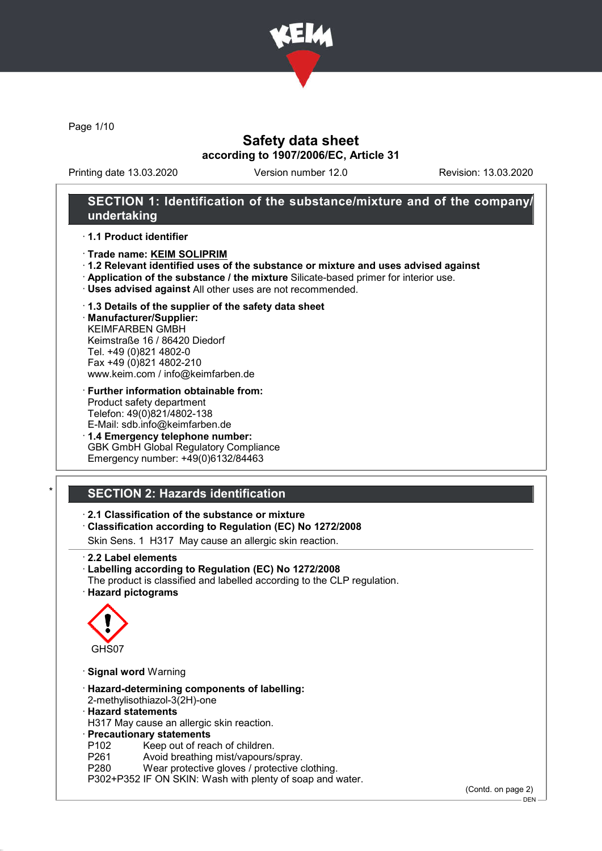

Page 1/10

## Safety data sheet according to 1907/2006/EC, Article 31

Printing date 13.03.2020 Version number 12.0 Revision: 13.03.2020

## SECTION 1: Identification of the substance/mixture and of the company/ undertaking

#### · 1.1 Product identifier

- · Trade name: KEIM SOLIPRIM
- · 1.2 Relevant identified uses of the substance or mixture and uses advised against
- · Application of the substance / the mixture Silicate-based primer for interior use.
- · Uses advised against All other uses are not recommended.

### · 1.3 Details of the supplier of the safety data sheet

· Manufacturer/Supplier: KEIMFARBEN GMBH Keimstraße 16 / 86420 Diedorf Tel. +49 (0)821 4802-0 Fax +49 (0)821 4802-210 www.keim.com / info@keimfarben.de

- · Further information obtainable from: Product safety department Telefon: 49(0)821/4802-138 E-Mail: sdb.info@keimfarben.de
- · 1.4 Emergency telephone number: GBK GmbH Global Regulatory Compliance Emergency number: +49(0)6132/84463

# **SECTION 2: Hazards identification**

### · 2.1 Classification of the substance or mixture

· Classification according to Regulation (EC) No 1272/2008

Skin Sens. 1 H317 May cause an allergic skin reaction.

- · 2.2 Label elements
- · Labelling according to Regulation (EC) No 1272/2008
- The product is classified and labelled according to the CLP regulation.
- · Hazard pictograms



- · Signal word Warning
- · Hazard-determining components of labelling: 2-methylisothiazol-3(2H)-one
- · Hazard statements

H317 May cause an allergic skin reaction.

- · Precautionary statements
- P102 Keep out of reach of children.
- P261 Avoid breathing mist/vapours/spray.<br>P280 Wear protective gloves / protective c
- Wear protective gloves / protective clothing.
- P302+P352 IF ON SKIN: Wash with plenty of soap and water.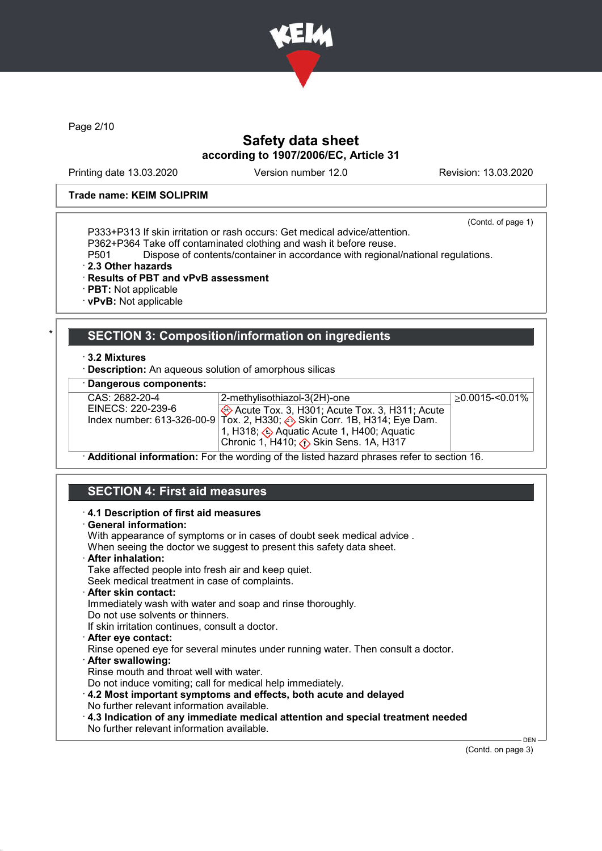

Page 2/10

## Safety data sheet according to 1907/2006/EC, Article 31

Printing date 13.03.2020 Version number 12.0 Revision: 13.03.2020

#### Trade name: KEIM SOLIPRIM

(Contd. of page 1)

P333+P313 If skin irritation or rash occurs: Get medical advice/attention.

P362+P364 Take off contaminated clothing and wash it before reuse.

Dispose of contents/container in accordance with regional/national regulations.

- · 2.3 Other hazards
- · Results of PBT and vPvB assessment
- · PBT: Not applicable
- · vPvB: Not applicable

## SECTION 3: Composition/information on ingredients

- · 3.2 Mixtures
- **Description:** An aqueous solution of amorphous silicas
- Dangerous components:

| CAS: 2682-20-4                                                                                                 |  | 2-methylisothiazol-3(2H)-one                                                               | ≥0.0015-<0.01% |
|----------------------------------------------------------------------------------------------------------------|--|--------------------------------------------------------------------------------------------|----------------|
| EINECS: 220-239-6                                                                                              |  | $\otimes$ Acute Tox. 3, H301; Acute Tox. 3, H311; Acute                                    |                |
|                                                                                                                |  | Index number: 613-326-00-9   Tox. 2, H330; $\leftrightarrow$ Skin Corr. 1B, H314; Eye Dam. |                |
|                                                                                                                |  | 1, H318; ۞ Aquatic Acute 1, H400; Aquatic                                                  |                |
|                                                                                                                |  | Chronic 1, H410; ∧ Skin Sens. 1A, H317                                                     |                |
| A delition of informations. For the considers of the listed because through a belonger and the consideration d |  |                                                                                            |                |

· Additional information: For the wording of the listed hazard phrases refer to section 16.

# SECTION 4: First aid measures

- · 4.1 Description of first aid measures
- · General information:

With appearance of symptoms or in cases of doubt seek medical advice . When seeing the doctor we suggest to present this safety data sheet. · After inhalation: Take affected people into fresh air and keep quiet. Seek medical treatment in case of complaints. · After skin contact: Immediately wash with water and soap and rinse thoroughly. Do not use solvents or thinners. If skin irritation continues, consult a doctor. · After eye contact: Rinse opened eye for several minutes under running water. Then consult a doctor. · After swallowing: Rinse mouth and throat well with water. Do not induce vomiting; call for medical help immediately. · 4.2 Most important symptoms and effects, both acute and delayed No further relevant information available.

· 4.3 Indication of any immediate medical attention and special treatment needed No further relevant information available.

(Contd. on page 3)

**DEN**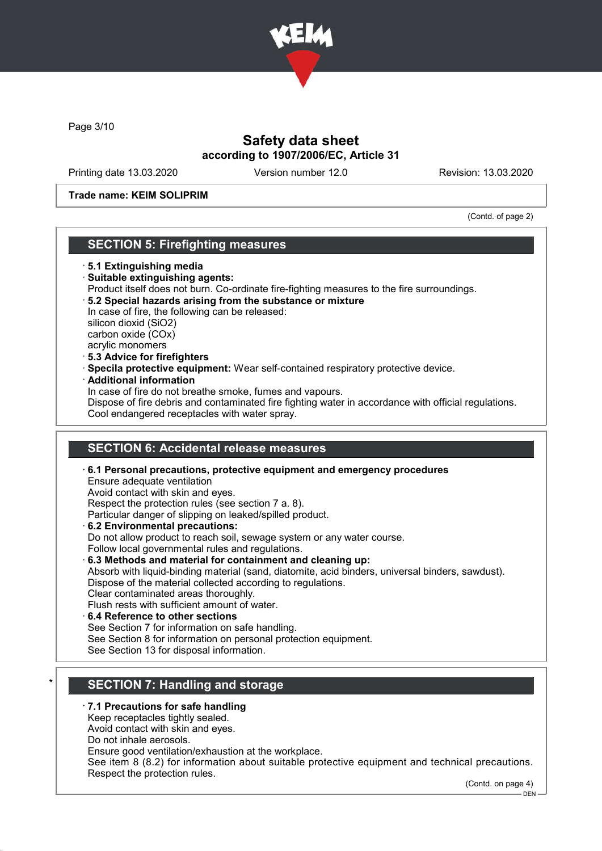

Page 3/10

## Safety data sheet according to 1907/2006/EC, Article 31

Printing date 13.03.2020 Version number 12.0 Revision: 13.03.2020

### Trade name: KEIM SOLIPRIM

(Contd. of page 2)

## SECTION 5: Firefighting measures

- · 5.1 Extinguishing media
- · Suitable extinguishing agents:
- Product itself does not burn. Co-ordinate fire-fighting measures to the fire surroundings.
- · 5.2 Special hazards arising from the substance or mixture In case of fire, the following can be released: silicon dioxid (SiO2)
- carbon oxide (COx) acrylic monomers
- · 5.3 Advice for firefighters
- · Specila protective equipment: Wear self-contained respiratory protective device.
- · Additional information

In case of fire do not breathe smoke, fumes and vapours.

Dispose of fire debris and contaminated fire fighting water in accordance with official regulations. Cool endangered receptacles with water spray.

# SECTION 6: Accidental release measures

· 6.1 Personal precautions, protective equipment and emergency procedures

Ensure adequate ventilation

Avoid contact with skin and eyes.

Respect the protection rules (see section 7 a. 8).

Particular danger of slipping on leaked/spilled product.

· 6.2 Environmental precautions:

Do not allow product to reach soil, sewage system or any water course.

- Follow local governmental rules and regulations.
- $\cdot$  6.3 Methods and material for containment and cleaning up:

Absorb with liquid-binding material (sand, diatomite, acid binders, universal binders, sawdust). Dispose of the material collected according to regulations.

Clear contaminated areas thoroughly.

Flush rests with sufficient amount of water.

### · 6.4 Reference to other sections

See Section 7 for information on safe handling.

See Section 8 for information on personal protection equipment.

See Section 13 for disposal information.

# SECTION 7: Handling and storage

### · 7.1 Precautions for safe handling

Keep receptacles tightly sealed.

Avoid contact with skin and eyes.

Do not inhale aerosols.

Ensure good ventilation/exhaustion at the workplace.

See item 8 (8.2) for information about suitable protective equipment and technical precautions. Respect the protection rules.

(Contd. on page 4)

 $-$  DEN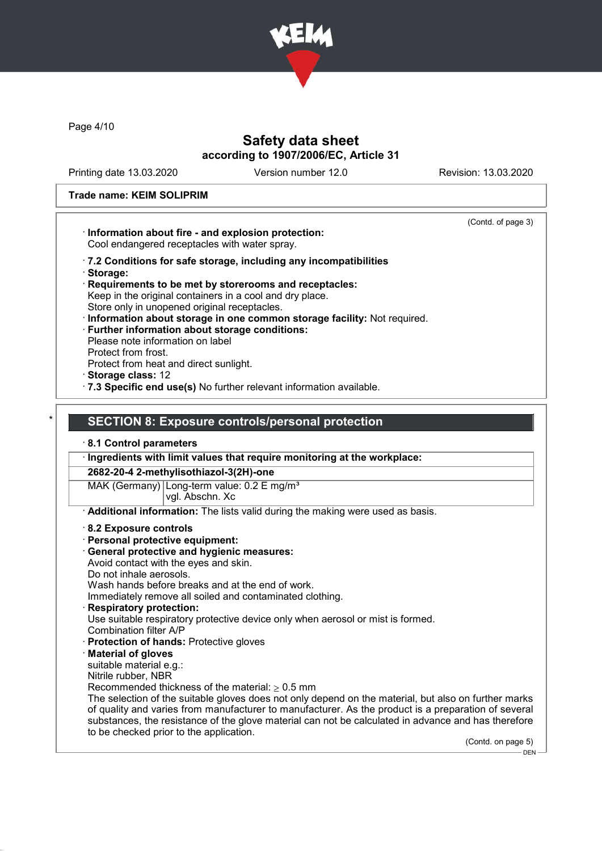

Page 4/10

## Safety data sheet according to 1907/2006/EC, Article 31

Printing date 13.03.2020 Version number 12.0 Revision: 13.03.2020

 $-$  DEN

#### Trade name: KEIM SOLIPRIM

(Contd. of page 3) · Information about fire - and explosion protection: Cool endangered receptacles with water spray. · 7.2 Conditions for safe storage, including any incompatibilities · Storage: · Requirements to be met by storerooms and receptacles: Keep in the original containers in a cool and dry place. Store only in unopened original receptacles. · Information about storage in one common storage facility: Not required. · Further information about storage conditions: Please note information on label Protect from frost. Protect from heat and direct sunlight. · Storage class: 12 · 7.3 Specific end use(s) No further relevant information available. SECTION 8: Exposure controls/personal protection · 8.1 Control parameters · Ingredients with limit values that require monitoring at the workplace: 2682-20-4 2-methylisothiazol-3(2H)-one MAK (Germany) Long-term value: 0.2 E mg/m<sup>3</sup> vgl. Abschn. Xc · Additional information: The lists valid during the making were used as basis. · 8.2 Exposure controls · Personal protective equipment: · General protective and hygienic measures: Avoid contact with the eyes and skin. Do not inhale aerosols. Wash hands before breaks and at the end of work. Immediately remove all soiled and contaminated clothing. Respiratory protection: Use suitable respiratory protective device only when aerosol or mist is formed. Combination filter A/P · Protection of hands: Protective gloves · Material of gloves suitable material e.g.: Nitrile rubber, NBR Recommended thickness of the material:  $> 0.5$  mm The selection of the suitable gloves does not only depend on the material, but also on further marks of quality and varies from manufacturer to manufacturer. As the product is a preparation of several substances, the resistance of the glove material can not be calculated in advance and has therefore to be checked prior to the application. (Contd. on page 5)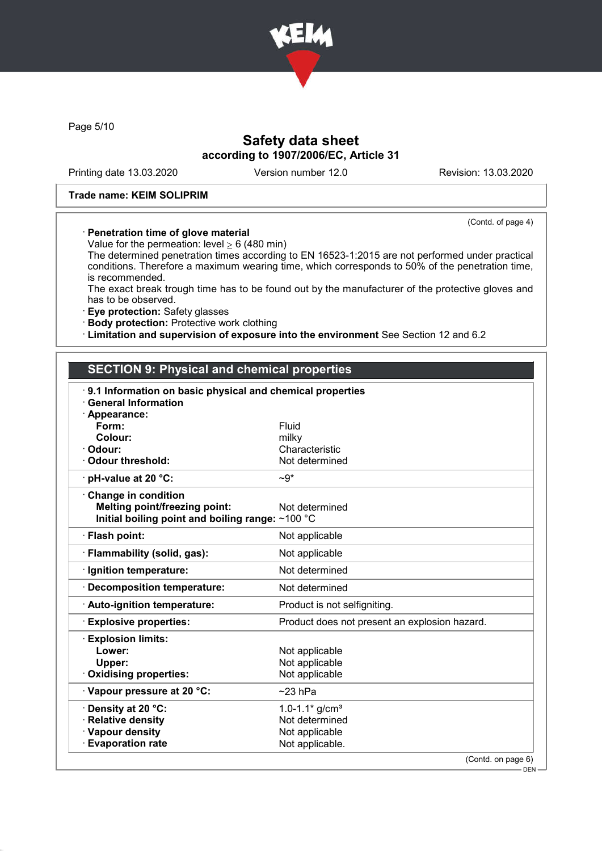

Page 5/10

# Safety data sheet according to 1907/2006/EC, Article 31

Printing date 13.03.2020 Version number 12.0 Revision: 13.03.2020

(Contd. of page 4)

#### Trade name: KEIM SOLIPRIM

### · Penetration time of glove material

Value for the permeation: level  $\geq 6$  (480 min)

The determined penetration times according to EN 16523-1:2015 are not performed under practical conditions. Therefore a maximum wearing time, which corresponds to 50% of the penetration time, is recommended.

The exact break trough time has to be found out by the manufacturer of the protective gloves and has to be observed.

· Eye protection: Safety glasses

· Body protection: Protective work clothing

· Limitation and supervision of exposure into the environment See Section 12 and 6.2

## SECTION 9: Physical and chemical properties

| 9.1 Information on basic physical and chemical properties<br><b>General Information</b> |                                               |  |
|-----------------------------------------------------------------------------------------|-----------------------------------------------|--|
| · Appearance:                                                                           |                                               |  |
| Form:                                                                                   | Fluid                                         |  |
| Colour:                                                                                 | milky                                         |  |
| · Odour:                                                                                | Characteristic                                |  |
| <b>Odour threshold:</b>                                                                 | Not determined                                |  |
| $\cdot$ pH-value at 20 $\degree$ C:                                                     | $-9*$                                         |  |
| Change in condition                                                                     |                                               |  |
| <b>Melting point/freezing point:</b>                                                    | Not determined                                |  |
| Initial boiling point and boiling range: $\sim$ 100 °C                                  |                                               |  |
| · Flash point:                                                                          | Not applicable                                |  |
| · Flammability (solid, gas):                                                            | Not applicable                                |  |
| · Ignition temperature:                                                                 | Not determined                                |  |
| · Decomposition temperature:                                                            | Not determined                                |  |
| · Auto-ignition temperature:                                                            | Product is not selfigniting.                  |  |
| <b>Explosive properties:</b>                                                            | Product does not present an explosion hazard. |  |
| <b>Explosion limits:</b>                                                                |                                               |  |
| Lower:                                                                                  | Not applicable                                |  |
| Upper:                                                                                  | Not applicable                                |  |
| <b>Oxidising properties:</b>                                                            | Not applicable                                |  |
| Vapour pressure at 20 °C:                                                               | $~23$ hPa                                     |  |
| <b>⋅Density at 20 °C:</b>                                                               | 1.0-1.1* $g/cm3$                              |  |
| <b>Relative density</b>                                                                 | Not determined                                |  |
| · Vapour density                                                                        | Not applicable                                |  |
| <b>Evaporation rate</b>                                                                 | Not applicable.                               |  |
|                                                                                         | (Contd. on page 6)                            |  |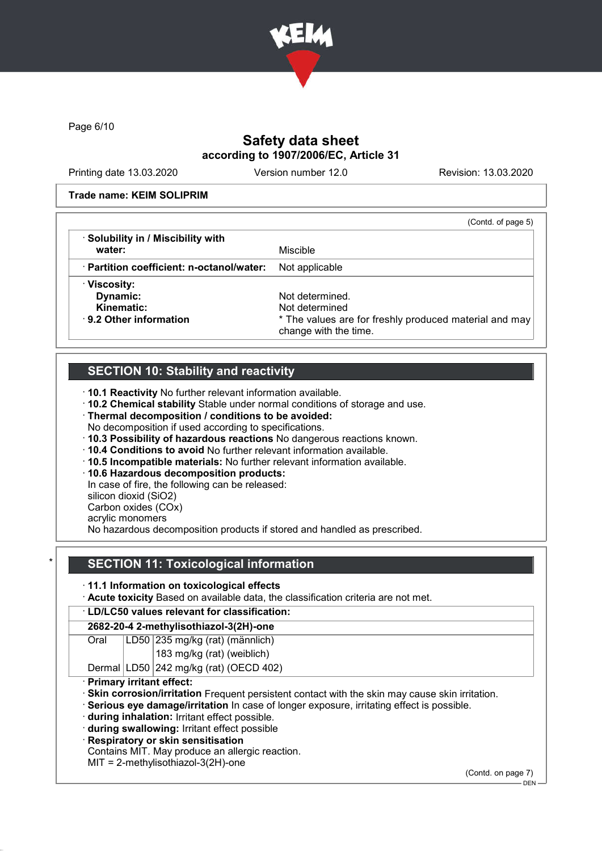

Page 6/10

# Safety data sheet according to 1907/2006/EC, Article 31

Printing date 13.03.2020 Version number 12.0 Revision: 13.03.2020

#### Trade name: KEIM SOLIPRIM

|                                           | (Contd. of page 5)                                                              |
|-------------------------------------------|---------------------------------------------------------------------------------|
| · Solubility in / Miscibility with        |                                                                                 |
| water:                                    | <b>Miscible</b>                                                                 |
| · Partition coefficient: n-octanol/water: | Not applicable                                                                  |
| · Viscosity:                              |                                                                                 |
| Dynamic:                                  | Not determined.                                                                 |
| Kinematic:                                | Not determined                                                                  |
| $\cdot$ 9.2 Other information             | * The values are for freshly produced material and may<br>change with the time. |

# SECTION 10: Stability and reactivity

· 10.1 Reactivity No further relevant information available.

· 10.2 Chemical stability Stable under normal conditions of storage and use.

- · Thermal decomposition / conditions to be avoided:
- No decomposition if used according to specifications.
- · 10.3 Possibility of hazardous reactions No dangerous reactions known.
- · 10.4 Conditions to avoid No further relevant information available.
- · 10.5 Incompatible materials: No further relevant information available.
- · 10.6 Hazardous decomposition products:

In case of fire, the following can be released:

silicon dioxid (SiO2)

Carbon oxides (COx)

acrylic monomers

No hazardous decomposition products if stored and handled as prescribed.

# **SECTION 11: Toxicological information**

#### · 11.1 Information on toxicological effects

· Acute toxicity Based on available data, the classification criteria are not met.

#### · LD/LC50 values relevant for classification:

#### 2682-20-4 2-methylisothiazol-3(2H)-one

Oral LD50 235 mg/kg (rat) (männlich)

183 mg/kg (rat) (weiblich)

Dermal LD50 242 mg/kg (rat) (OECD 402)

#### · Primary irritant effect:

- · Skin corrosion/irritation Frequent persistent contact with the skin may cause skin irritation.
- · Serious eye damage/irritation In case of longer exposure, irritating effect is possible.

· during inhalation: Irritant effect possible.

- · during swallowing: Irritant effect possible
- **Respiratory or skin sensitisation**

Contains MIT. May produce an allergic reaction.

MIT = 2-methylisothiazol-3(2H)-one

(Contd. on page 7)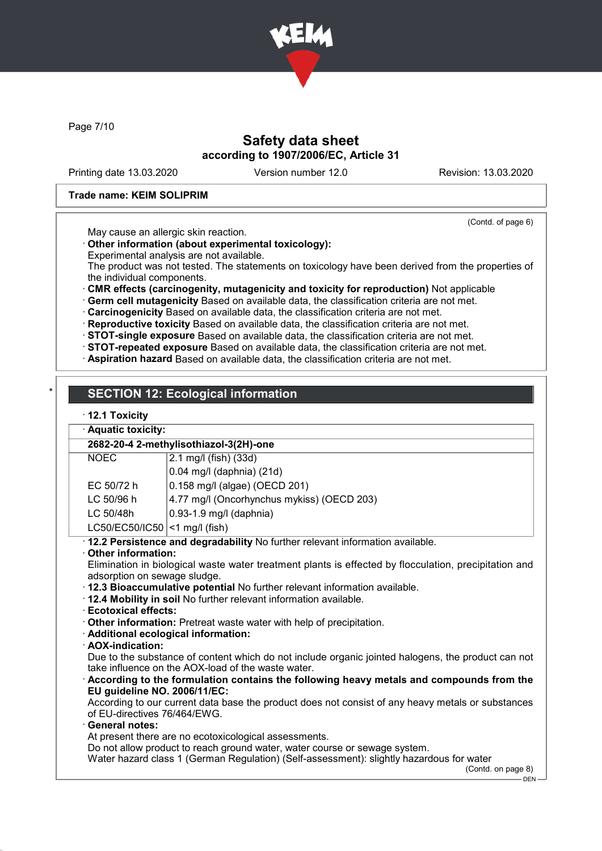

Page 7/10

## Safety data sheet according to 1907/2006/EC, Article 31

Printing date 13.03.2020 Version number 12.0 Revision: 13.03.2020

(Contd. of page 6)

#### Trade name: KEIM SOLIPRIM

May cause an allergic skin reaction.

· Other information (about experimental toxicology):

Experimental analysis are not available.

The product was not tested. The statements on toxicology have been derived from the properties of the individual components.

· CMR effects (carcinogenity, mutagenicity and toxicity for reproduction) Not applicable

· Germ cell mutagenicity Based on available data, the classification criteria are not met.

· Carcinogenicity Based on available data, the classification criteria are not met.

· Reproductive toxicity Based on available data, the classification criteria are not met.

· STOT-single exposure Based on available data, the classification criteria are not met.

· STOT-repeated exposure Based on available data, the classification criteria are not met.

· Aspiration hazard Based on available data, the classification criteria are not met.

# **SECTION 12: Ecological information**

### · 12.1 Toxicity

### · Aquatic toxicity:

### 2682-20-4 2-methylisothiazol-3(2H)-one

| <b>NOEC</b>                     | 2.1 mg/l (fish) (33d)                      |
|---------------------------------|--------------------------------------------|
|                                 | 0.04 mg/l (daphnia) (21d)                  |
| EC 50/72 h                      | 0.158 mg/l (algae) (OECD 201)              |
| LC 50/96 h                      | 4.77 mg/l (Oncorhynchus mykiss) (OECD 203) |
| LC 50/48h                       | 0.93-1.9 mg/l (daphnia)                    |
| LC50/EC50/IC50   <1 mg/l (fish) |                                            |

· 12.2 Persistence and degradability No further relevant information available.

### · Other information:

Elimination in biological waste water treatment plants is effected by flocculation, precipitation and adsorption on sewage sludge.

- · 12.3 Bioaccumulative potential No further relevant information available.
- · 12.4 Mobility in soil No further relevant information available.
- · Ecotoxical effects:
- · Other information: Pretreat waste water with help of precipitation.
- · Additional ecological information:
- · AOX-indication:

Due to the substance of content which do not include organic jointed halogens, the product can not take influence on the AOX-load of the waste water.

### · According to the formulation contains the following heavy metals and compounds from the EU guideline NO. 2006/11/EC:

According to our current data base the product does not consist of any heavy metals or substances of EU-directives 76/464/EWG.

General notes: At present there are no ecotoxicological assessments.

Do not allow product to reach ground water, water course or sewage system.

Water hazard class 1 (German Regulation) (Self-assessment): slightly hazardous for water

(Contd. on page 8)  $-$  DEN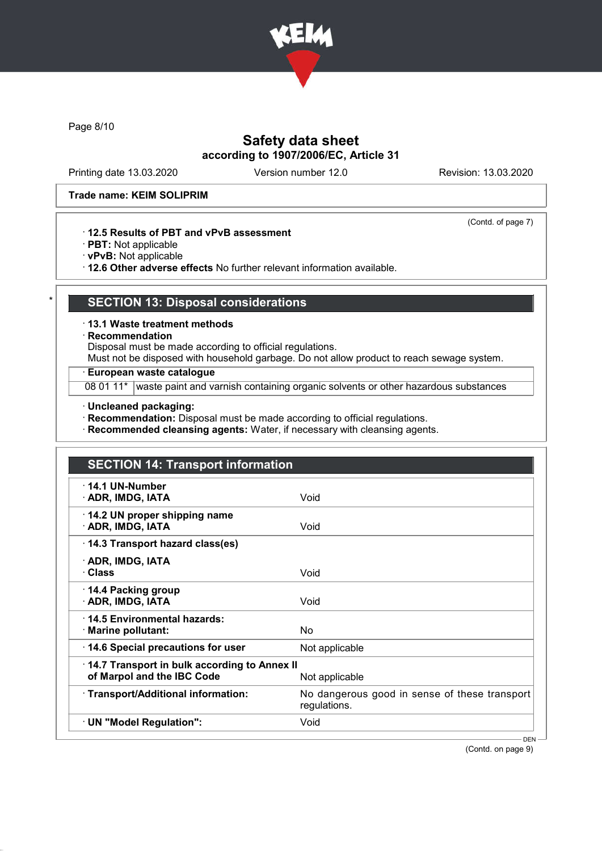

Page 8/10

# Safety data sheet according to 1907/2006/EC, Article 31

Printing date 13.03.2020 Version number 12.0 Revision: 13.03.2020

(Contd. of page 7)

#### Trade name: KEIM SOLIPRIM

### · 12.5 Results of PBT and vPvB assessment

- · PBT: Not applicable
- · vPvB: Not applicable
- · 12.6 Other adverse effects No further relevant information available.

# **SECTION 13: Disposal considerations**

· 13.1 Waste treatment methods

· Recommendation

Disposal must be made according to official regulations.

Must not be disposed with household garbage. Do not allow product to reach sewage system.

### · European waste catalogue

08 01 11\* waste paint and varnish containing organic solvents or other hazardous substances

· Uncleaned packaging:

· Recommendation: Disposal must be made according to official regulations.

· Recommended cleansing agents: Water, if necessary with cleansing agents.

|                                                                            | <b>SECTION 14: Transport information</b>                      |  |
|----------------------------------------------------------------------------|---------------------------------------------------------------|--|
| $\cdot$ 14.1 UN-Number<br>· ADR, IMDG, IATA                                | Void                                                          |  |
| 14.2 UN proper shipping name<br>· ADR, IMDG, IATA                          | Void                                                          |  |
| 14.3 Transport hazard class(es)                                            |                                                               |  |
| · ADR, IMDG, IATA<br>· Class                                               | Void                                                          |  |
| ⋅ 14.4 Packing group<br>· ADR, IMDG, IATA                                  | Void                                                          |  |
| 14.5 Environmental hazards:<br>· Marine pollutant:                         | No                                                            |  |
| 14.6 Special precautions for user                                          | Not applicable                                                |  |
| 14.7 Transport in bulk according to Annex II<br>of Marpol and the IBC Code | Not applicable                                                |  |
| · Transport/Additional information:                                        | No dangerous good in sense of these transport<br>regulations. |  |
| · UN "Model Regulation":                                                   | Void                                                          |  |
|                                                                            | – DEN –                                                       |  |

(Contd. on page 9)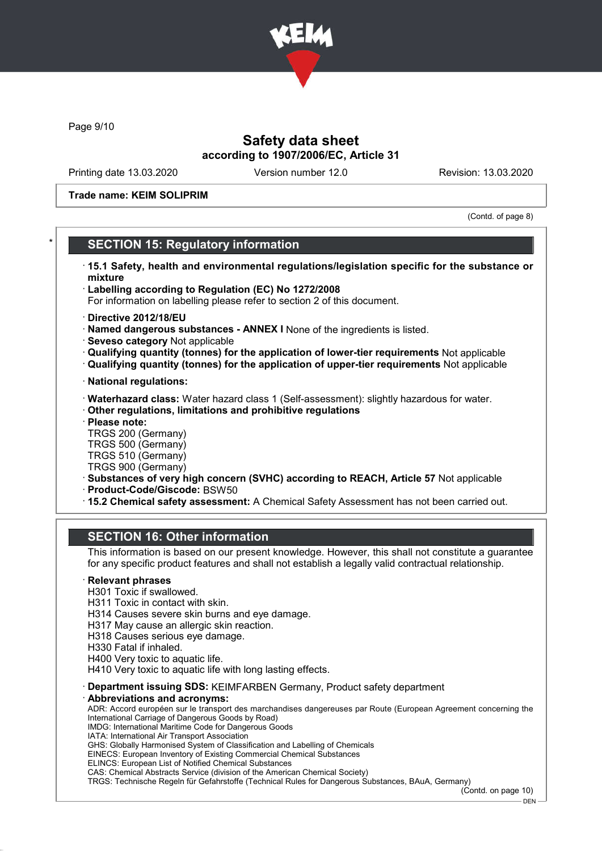

Page 9/10

## Safety data sheet according to 1907/2006/EC, Article 31

Printing date 13.03.2020 Version number 12.0 Revision: 13.03.2020

Trade name: KEIM SOLIPRIM

(Contd. of page 8)

## **SECTION 15: Regulatory information**

- · 15.1 Safety, health and environmental regulations/legislation specific for the substance or mixture
- · Labelling according to Regulation (EC) No 1272/2008
- For information on labelling please refer to section 2 of this document.
- · Directive 2012/18/EU
- · Named dangerous substances ANNEX I None of the ingredients is listed.
- · Seveso category Not applicable
- · Qualifying quantity (tonnes) for the application of lower-tier requirements Not applicable
- · Qualifying quantity (tonnes) for the application of upper-tier requirements Not applicable
- · National regulations:
- · Waterhazard class: Water hazard class 1 (Self-assessment): slightly hazardous for water.
- · Other regulations, limitations and prohibitive regulations
- · Please note:
- TRGS 200 (Germany)
- TRGS 500 (Germany)
- TRGS 510 (Germany) TRGS 900 (Germany)
- · Substances of very high concern (SVHC) according to REACH, Article 57 Not applicable
- · Product-Code/Giscode: BSW50
- · 15.2 Chemical safety assessment: A Chemical Safety Assessment has not been carried out.

## SECTION 16: Other information

This information is based on our present knowledge. However, this shall not constitute a guarantee for any specific product features and shall not establish a legally valid contractual relationship.

### **Relevant phrases**

- H301 Toxic if swallowed.
- H311 Toxic in contact with skin.
- H314 Causes severe skin burns and eye damage.
- H317 May cause an allergic skin reaction.
- H318 Causes serious eye damage.
- H330 Fatal if inhaled.
- H400 Very toxic to aquatic life.
- H410 Very toxic to aquatic life with long lasting effects.

· Department issuing SDS: KEIMFARBEN Germany, Product safety department

Abbreviations and acronyms:

ADR: Accord européen sur le transport des marchandises dangereuses par Route (European Agreement concerning the International Carriage of Dangerous Goods by Road)

- IMDG: International Maritime Code for Dangerous Goods
- IATA: International Air Transport Association GHS: Globally Harmonised System of Classification and Labelling of Chemicals

EINECS: European Inventory of Existing Commercial Chemical Substances

- ELINCS: European List of Notified Chemical Substances
- CAS: Chemical Abstracts Service (division of the American Chemical Society)

TRGS: Technische Regeln für Gefahrstoffe (Technical Rules for Dangerous Substances, BAuA, Germany)

(Contd. on page 10)